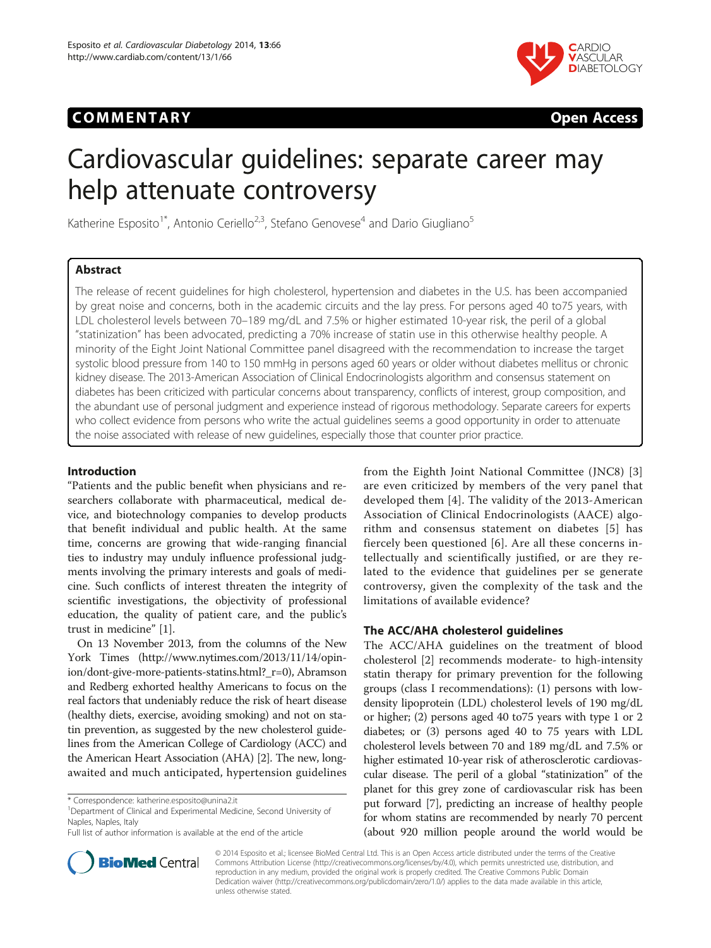## **COMMENTARY** COMMENTARY



# Cardiovascular guidelines: separate career may help attenuate controversy

Katherine Esposito<sup>1\*</sup>, Antonio Ceriello<sup>2,3</sup>, Stefano Genovese<sup>4</sup> and Dario Giugliano<sup>5</sup>

## Abstract

The release of recent guidelines for high cholesterol, hypertension and diabetes in the U.S. has been accompanied by great noise and concerns, both in the academic circuits and the lay press. For persons aged 40 to75 years, with LDL cholesterol levels between 70–189 mg/dL and 7.5% or higher estimated 10-year risk, the peril of a global "statinization" has been advocated, predicting a 70% increase of statin use in this otherwise healthy people. A minority of the Eight Joint National Committee panel disagreed with the recommendation to increase the target systolic blood pressure from 140 to 150 mmHg in persons aged 60 years or older without diabetes mellitus or chronic kidney disease. The 2013-American Association of Clinical Endocrinologists algorithm and consensus statement on diabetes has been criticized with particular concerns about transparency, conflicts of interest, group composition, and the abundant use of personal judgment and experience instead of rigorous methodology. Separate careers for experts who collect evidence from persons who write the actual guidelines seems a good opportunity in order to attenuate the noise associated with release of new guidelines, especially those that counter prior practice.

## Introduction

"Patients and the public benefit when physicians and researchers collaborate with pharmaceutical, medical device, and biotechnology companies to develop products that benefit individual and public health. At the same time, concerns are growing that wide-ranging financial ties to industry may unduly influence professional judgments involving the primary interests and goals of medicine. Such conflicts of interest threaten the integrity of scientific investigations, the objectivity of professional education, the quality of patient care, and the public's trust in medicine" [\[1](#page-2-0)].

On 13 November 2013, from the columns of the New York Times [\(http://www.nytimes.com/2013/11/14/opin](http://www.nytimes.com/2013/11/14/opinion/dont-give-more-patients-statins.html?_r=0)[ion/dont-give-more-patients-statins.html?\\_r=0](http://www.nytimes.com/2013/11/14/opinion/dont-give-more-patients-statins.html?_r=0)), Abramson and Redberg exhorted healthy Americans to focus on the real factors that undeniably reduce the risk of heart disease (healthy diets, exercise, avoiding smoking) and not on statin prevention, as suggested by the new cholesterol guidelines from the American College of Cardiology (ACC) and the American Heart Association (AHA) [[2](#page-2-0)]. The new, longawaited and much anticipated, hypertension guidelines

from the Eighth Joint National Committee (JNC8) [\[3](#page-2-0)] are even criticized by members of the very panel that developed them [\[4\]](#page-2-0). The validity of the 2013-American Association of Clinical Endocrinologists (AACE) algorithm and consensus statement on diabetes [[5\]](#page-2-0) has fiercely been questioned [[6\]](#page-2-0). Are all these concerns intellectually and scientifically justified, or are they related to the evidence that guidelines per se generate controversy, given the complexity of the task and the limitations of available evidence?

### The ACC/AHA cholesterol guidelines

The ACC/AHA guidelines on the treatment of blood cholesterol [\[2\]](#page-2-0) recommends moderate- to high-intensity statin therapy for primary prevention for the following groups (class I recommendations): (1) persons with lowdensity lipoprotein (LDL) cholesterol levels of 190 mg/dL or higher; (2) persons aged 40 to75 years with type 1 or 2 diabetes; or (3) persons aged 40 to 75 years with LDL cholesterol levels between 70 and 189 mg/dL and 7.5% or higher estimated 10-year risk of atherosclerotic cardiovascular disease. The peril of a global "statinization" of the planet for this grey zone of cardiovascular risk has been put forward [\[7\]](#page-2-0), predicting an increase of healthy people for whom statins are recommended by nearly 70 percent (about 920 million people around the world would be



© 2014 Esposito et al.; licensee BioMed Central Ltd. This is an Open Access article distributed under the terms of the Creative Commons Attribution License [\(http://creativecommons.org/licenses/by/4.0\)](http://creativecommons.org/licenses/by/4.0), which permits unrestricted use, distribution, and reproduction in any medium, provided the original work is properly credited. The Creative Commons Public Domain Dedication waiver [\(http://creativecommons.org/publicdomain/zero/1.0/](http://creativecommons.org/publicdomain/zero/1.0/)) applies to the data made available in this article, unless otherwise stated.

<sup>\*</sup> Correspondence: [katherine.esposito@unina2.it](mailto:katherine.esposito@unina2.it) <sup>1</sup>

<sup>&</sup>lt;sup>1</sup>Department of Clinical and Experimental Medicine, Second University of Naples, Naples, Italy

Full list of author information is available at the end of the article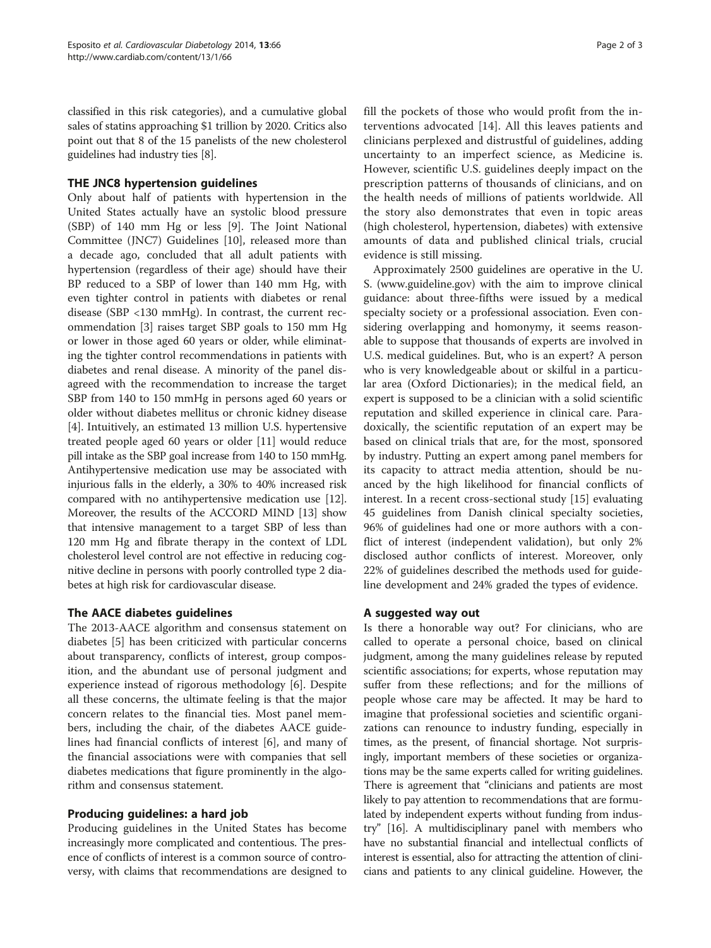classified in this risk categories), and a cumulative global sales of statins approaching \$1 trillion by 2020. Critics also point out that 8 of the 15 panelists of the new cholesterol guidelines had industry ties [\[8](#page-2-0)].

### THE JNC8 hypertension guidelines

Only about half of patients with hypertension in the United States actually have an systolic blood pressure (SBP) of 140 mm Hg or less [[9\]](#page-2-0). The Joint National Committee (JNC7) Guidelines [\[10](#page-2-0)], released more than a decade ago, concluded that all adult patients with hypertension (regardless of their age) should have their BP reduced to a SBP of lower than 140 mm Hg, with even tighter control in patients with diabetes or renal disease (SBP <130 mmHg). In contrast, the current recommendation [\[3](#page-2-0)] raises target SBP goals to 150 mm Hg or lower in those aged 60 years or older, while eliminating the tighter control recommendations in patients with diabetes and renal disease. A minority of the panel disagreed with the recommendation to increase the target SBP from 140 to 150 mmHg in persons aged 60 years or older without diabetes mellitus or chronic kidney disease [[4\]](#page-2-0). Intuitively, an estimated 13 million U.S. hypertensive treated people aged 60 years or older [\[11\]](#page-2-0) would reduce pill intake as the SBP goal increase from 140 to 150 mmHg. Antihypertensive medication use may be associated with injurious falls in the elderly, a 30% to 40% increased risk compared with no antihypertensive medication use [[12](#page-2-0)]. Moreover, the results of the ACCORD MIND [\[13\]](#page-2-0) show that intensive management to a target SBP of less than 120 mm Hg and fibrate therapy in the context of LDL cholesterol level control are not effective in reducing cognitive decline in persons with poorly controlled type 2 diabetes at high risk for cardiovascular disease.

## The AACE diabetes guidelines

The 2013-AACE algorithm and consensus statement on diabetes [[5](#page-2-0)] has been criticized with particular concerns about transparency, conflicts of interest, group composition, and the abundant use of personal judgment and experience instead of rigorous methodology [[6\]](#page-2-0). Despite all these concerns, the ultimate feeling is that the major concern relates to the financial ties. Most panel members, including the chair, of the diabetes AACE guidelines had financial conflicts of interest [[6\]](#page-2-0), and many of the financial associations were with companies that sell diabetes medications that figure prominently in the algorithm and consensus statement.

## Producing guidelines: a hard job

Producing guidelines in the United States has become increasingly more complicated and contentious. The presence of conflicts of interest is a common source of controversy, with claims that recommendations are designed to fill the pockets of those who would profit from the interventions advocated [[14](#page-2-0)]. All this leaves patients and clinicians perplexed and distrustful of guidelines, adding uncertainty to an imperfect science, as Medicine is. However, scientific U.S. guidelines deeply impact on the prescription patterns of thousands of clinicians, and on the health needs of millions of patients worldwide. All the story also demonstrates that even in topic areas (high cholesterol, hypertension, diabetes) with extensive amounts of data and published clinical trials, crucial evidence is still missing.

Approximately 2500 guidelines are operative in the U. S. ([www.guideline.gov](http://www.guideline.gov)) with the aim to improve clinical guidance: about three-fifths were issued by a medical specialty society or a professional association. Even considering overlapping and homonymy, it seems reasonable to suppose that thousands of experts are involved in U.S. medical guidelines. But, who is an expert? A person who is very knowledgeable about or skilful in a particular area (Oxford Dictionaries); in the medical field, an expert is supposed to be a clinician with a solid scientific reputation and skilled experience in clinical care. Paradoxically, the scientific reputation of an expert may be based on clinical trials that are, for the most, sponsored by industry. Putting an expert among panel members for its capacity to attract media attention, should be nuanced by the high likelihood for financial conflicts of interest. In a recent cross-sectional study [[15\]](#page-2-0) evaluating 45 guidelines from Danish clinical specialty societies, 96% of guidelines had one or more authors with a conflict of interest (independent validation), but only 2% disclosed author conflicts of interest. Moreover, only 22% of guidelines described the methods used for guideline development and 24% graded the types of evidence.

## A suggested way out

Is there a honorable way out? For clinicians, who are called to operate a personal choice, based on clinical judgment, among the many guidelines release by reputed scientific associations; for experts, whose reputation may suffer from these reflections; and for the millions of people whose care may be affected. It may be hard to imagine that professional societies and scientific organizations can renounce to industry funding, especially in times, as the present, of financial shortage. Not surprisingly, important members of these societies or organizations may be the same experts called for writing guidelines. There is agreement that "clinicians and patients are most likely to pay attention to recommendations that are formulated by independent experts without funding from industry" [\[16\]](#page-2-0). A multidisciplinary panel with members who have no substantial financial and intellectual conflicts of interest is essential, also for attracting the attention of clinicians and patients to any clinical guideline. However, the